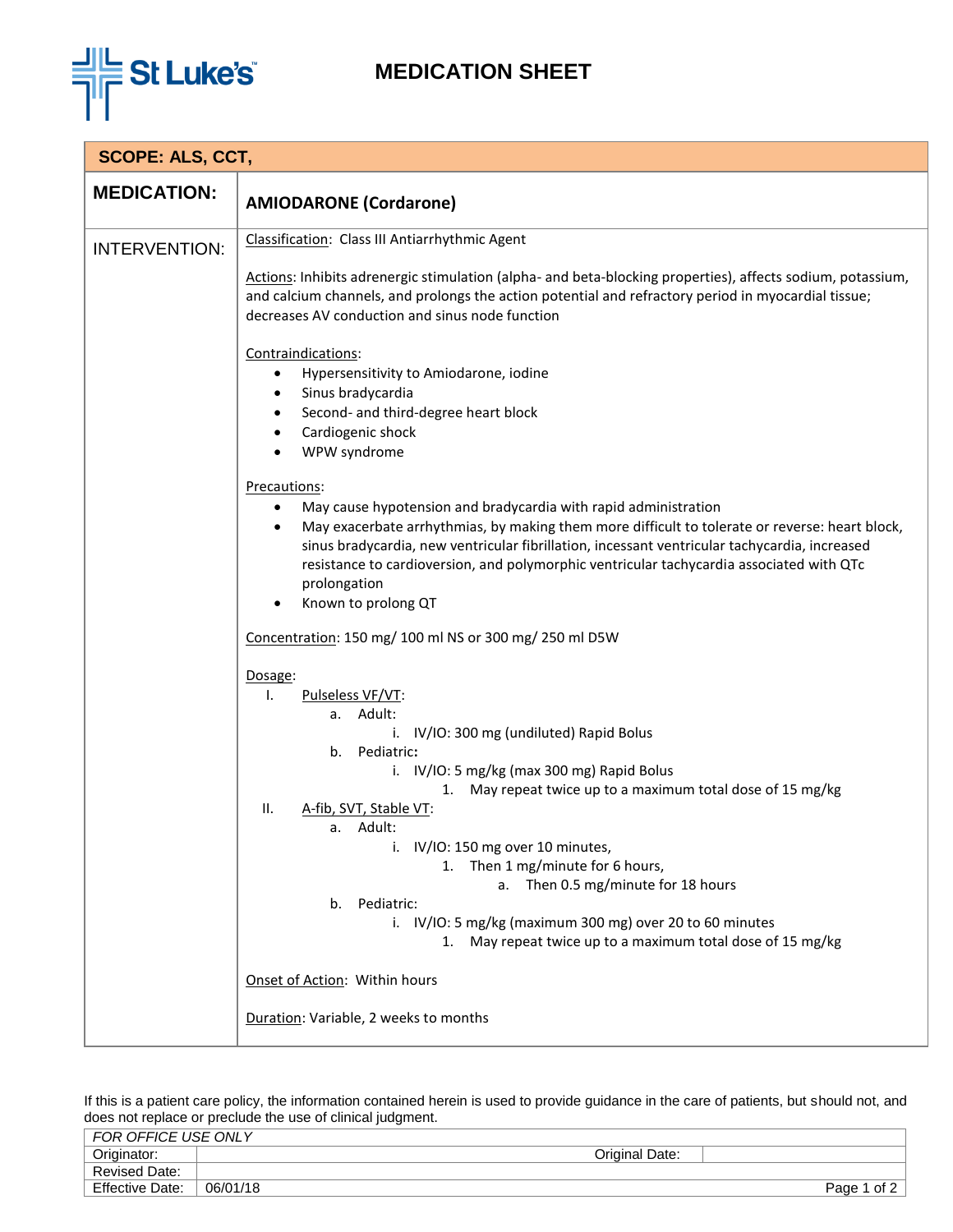

## **MEDICATION SHEET**

| <b>SCOPE: ALS, CCT,</b> |                                                                                                                                                                                                                                                                      |  |
|-------------------------|----------------------------------------------------------------------------------------------------------------------------------------------------------------------------------------------------------------------------------------------------------------------|--|
| <b>MEDICATION:</b>      | <b>AMIODARONE (Cordarone)</b>                                                                                                                                                                                                                                        |  |
| <b>INTERVENTION:</b>    | Classification: Class III Antiarrhythmic Agent                                                                                                                                                                                                                       |  |
|                         | Actions: Inhibits adrenergic stimulation (alpha- and beta-blocking properties), affects sodium, potassium,<br>and calcium channels, and prolongs the action potential and refractory period in myocardial tissue;<br>decreases AV conduction and sinus node function |  |
|                         | Contraindications:                                                                                                                                                                                                                                                   |  |
|                         | Hypersensitivity to Amiodarone, iodine<br>$\bullet$                                                                                                                                                                                                                  |  |
|                         | Sinus bradycardia<br>$\bullet$                                                                                                                                                                                                                                       |  |
|                         | Second- and third-degree heart block<br>Cardiogenic shock                                                                                                                                                                                                            |  |
|                         | WPW syndrome                                                                                                                                                                                                                                                         |  |
|                         | Precautions:                                                                                                                                                                                                                                                         |  |
|                         | May cause hypotension and bradycardia with rapid administration                                                                                                                                                                                                      |  |
|                         | May exacerbate arrhythmias, by making them more difficult to tolerate or reverse: heart block,<br>$\bullet$<br>sinus bradycardia, new ventricular fibrillation, incessant ventricular tachycardia, increased                                                         |  |
|                         | resistance to cardioversion, and polymorphic ventricular tachycardia associated with QTc                                                                                                                                                                             |  |
|                         | prolongation                                                                                                                                                                                                                                                         |  |
|                         | Known to prolong QT                                                                                                                                                                                                                                                  |  |
|                         | Concentration: 150 mg/ 100 ml NS or 300 mg/ 250 ml D5W                                                                                                                                                                                                               |  |
|                         | Dosage:                                                                                                                                                                                                                                                              |  |
|                         | Pulseless VF/VT:<br>Τ.                                                                                                                                                                                                                                               |  |
|                         | a. Adult:<br>i. IV/IO: 300 mg (undiluted) Rapid Bolus                                                                                                                                                                                                                |  |
|                         | b. Pediatric:                                                                                                                                                                                                                                                        |  |
|                         | i. IV/IO: 5 mg/kg (max 300 mg) Rapid Bolus                                                                                                                                                                                                                           |  |
|                         | May repeat twice up to a maximum total dose of 15 mg/kg<br>1.<br>A-fib, SVT, Stable VT:<br>Ш.                                                                                                                                                                        |  |
|                         | a. Adult:                                                                                                                                                                                                                                                            |  |
|                         | i. IV/IO: 150 mg over 10 minutes,                                                                                                                                                                                                                                    |  |
|                         | 1. Then 1 mg/minute for 6 hours,<br>a. Then 0.5 mg/minute for 18 hours                                                                                                                                                                                               |  |
|                         | Pediatric:<br>b.                                                                                                                                                                                                                                                     |  |
|                         | i. IV/IO: 5 mg/kg (maximum 300 mg) over 20 to 60 minutes<br>1. May repeat twice up to a maximum total dose of 15 mg/kg                                                                                                                                               |  |
|                         |                                                                                                                                                                                                                                                                      |  |
|                         | Onset of Action: Within hours                                                                                                                                                                                                                                        |  |
|                         | Duration: Variable, 2 weeks to months                                                                                                                                                                                                                                |  |

If this is a patient care policy, the information contained herein is used to provide guidance in the care of patients, but should not, and does not replace or preclude the use of clinical judgment.

| FOR OFFICE USE ONLY    |                  |              |
|------------------------|------------------|--------------|
| Originator:            | Original Date:   |              |
| Revised Date:          |                  |              |
| <b>Effective Date:</b> | 06/01/18<br>Page | of 2 $\vert$ |